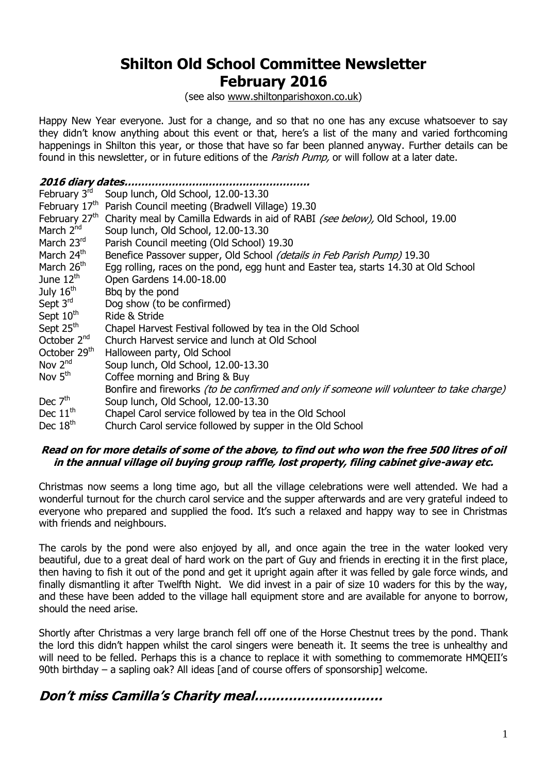# **Shilton Old School Committee Newsletter February 2016**

(see also [www.shiltonparishoxon.co.uk\)](http://www.shiltonparishoxon.co.uk/)

Happy New Year everyone. Just for a change, and so that no one has any excuse whatsoever to say they didn't know anything about this event or that, here's a list of the many and varied forthcoming happenings in Shilton this year, or those that have so far been planned anyway. Further details can be found in this newsletter, or in future editions of the *Parish Pump*, or will follow at a later date.

| 2016 diary dates.         |                                                                                           |  |
|---------------------------|-------------------------------------------------------------------------------------------|--|
| February 3rd              | Soup lunch, Old School, 12.00-13.30                                                       |  |
| February 17 <sup>th</sup> | Parish Council meeting (Bradwell Village) 19.30                                           |  |
| February 27 <sup>th</sup> | Charity meal by Camilla Edwards in aid of RABI (see below), Old School, 19.00             |  |
| March 2 <sup>nd</sup>     | Soup lunch, Old School, 12.00-13.30                                                       |  |
| March 23rd                | Parish Council meeting (Old School) 19.30                                                 |  |
| March 24th                | Benefice Passover supper, Old School (details in Feb Parish Pump) 19.30                   |  |
| March 26 <sup>th</sup>    | Egg rolling, races on the pond, egg hunt and Easter tea, starts 14.30 at Old School       |  |
| June $12th$               | Open Gardens 14.00-18.00                                                                  |  |
| July $16th$               | Bbq by the pond                                                                           |  |
| Sept $3rd$                | Dog show (to be confirmed)                                                                |  |
| Sept $10^{\text{th}}$     | Ride & Stride                                                                             |  |
| Sept 25 <sup>th</sup>     | Chapel Harvest Festival followed by tea in the Old School                                 |  |
| October $2^{nd}$          | Church Harvest service and lunch at Old School                                            |  |
| October 29 <sup>th</sup>  | Halloween party, Old School                                                               |  |
| Nov $2^{nd}$              | Soup lunch, Old School, 12.00-13.30                                                       |  |
| Nov $5th$                 | Coffee morning and Bring & Buy                                                            |  |
|                           | Bonfire and fireworks (to be confirmed and only if someone will volunteer to take charge) |  |
| Dec $7th$                 | Soup lunch, Old School, 12.00-13.30                                                       |  |
| Dec $11th$                | Chapel Carol service followed by tea in the Old School                                    |  |
| Dec $18th$                | Church Carol service followed by supper in the Old School                                 |  |

#### **Read on for more details of some of the above, to find out who won the free 500 litres of oil in the annual village oil buying group raffle, lost property, filing cabinet give-away etc.**

Christmas now seems a long time ago, but all the village celebrations were well attended. We had a wonderful turnout for the church carol service and the supper afterwards and are very grateful indeed to everyone who prepared and supplied the food. It's such a relaxed and happy way to see in Christmas with friends and neighbours.

The carols by the pond were also enjoyed by all, and once again the tree in the water looked very beautiful, due to a great deal of hard work on the part of Guy and friends in erecting it in the first place, then having to fish it out of the pond and get it upright again after it was felled by gale force winds, and finally dismantling it after Twelfth Night. We did invest in a pair of size 10 waders for this by the way, and these have been added to the village hall equipment store and are available for anyone to borrow, should the need arise.

Shortly after Christmas a very large branch fell off one of the Horse Chestnut trees by the pond. Thank the lord this didn't happen whilst the carol singers were beneath it. It seems the tree is unhealthy and will need to be felled. Perhaps this is a chance to replace it with something to commemorate HMQEII's 90th birthday – a sapling oak? All ideas [and of course offers of sponsorship] welcome.

# **Don't miss Camilla's Charity meal…………………………**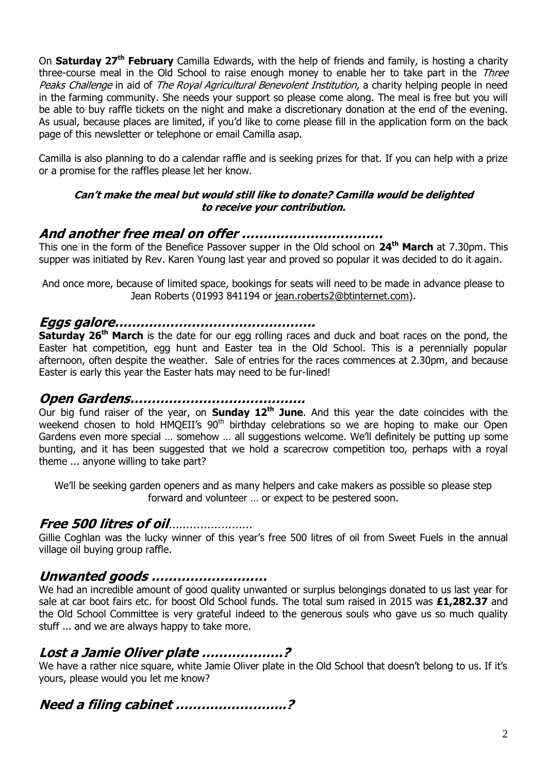On **Saturday 27th February** Camilla Edwards, with the help of friends and family, is hosting a charity three-course meal in the Old School to raise enough money to enable her to take part in the Three Peaks Challenge in aid of The Royal Agricultural Benevolent Institution, a charity helping people in need in the farming community. She needs your support so please come along. The meal is free but you will be able to buy raffle tickets on the night and make a discretionary donation at the end of the evening. As usual, because places are limited, if you'd like to come please fill in the application form on the back page of this newsletter or telephone or email Camilla asap.

Camilla is also planning to do a calendar raffle and is seeking prizes for that. If you can help with a prize or a promise for the raffles please let her know.

#### **Can't make the meal but would still like to donate? Camilla would be delighted to receive your contribution.**

### **And another free meal on offer ……………………………**

This one in the form of the Benefice Passover supper in the Old school on **24th March** at 7.30pm. This supper was initiated by Rev. Karen Young last year and proved so popular it was decided to do it again.

And once more, because of limited space, bookings for seats will need to be made in advance please to Jean Roberts (01993 841194 or [jean.roberts2@btinternet.com\)](mailto:jean.roberts2@btinternet.com).

#### **Eggs galore………………………………………..**

**Saturday 26<sup>th</sup> March** is the date for our egg rolling races and duck and boat races on the pond, the Easter hat competition, egg hunt and Easter tea in the Old School. This is a perennially popular afternoon, often despite the weather. Sale of entries for the races commences at 2.30pm, and because Easter is early this year the Easter hats may need to be fur-lined!

#### **Open Gardens…………………………………..**

Our big fund raiser of the year, on **Sunday 12th June**. And this year the date coincides with the weekend chosen to hold HMQEII's 90<sup>th</sup> birthday celebrations so we are hoping to make our Open Gardens even more special … somehow … all suggestions welcome. We'll definitely be putting up some bunting, and it has been suggested that we hold a scarecrow competition too, perhaps with a royal theme ... anyone willing to take part?

We'll be seeking garden openers and as many helpers and cake makers as possible so please step forward and volunteer … or expect to be pestered soon.

### **Free 500 litres of oil**……………………

Gillie Coghlan was the lucky winner of this year's free 500 litres of oil from Sweet Fuels in the annual village oil buying group raffle.

#### **Unwanted goods ………………………**

We had an incredible amount of good quality unwanted or surplus belongings donated to us last year for sale at car boot fairs etc. for boost Old School funds. The total sum raised in 2015 was **£1,282.37** and the Old School Committee is very grateful indeed to the generous souls who gave us so much quality stuff ... and we are always happy to take more.

### **Lost a Jamie Oliver plate ……………….?**

We have a rather nice square, white Jamie Oliver plate in the Old School that doesn't belong to us. If it's yours, please would you let me know?

### **Need a filing cabinet ……………………..?**